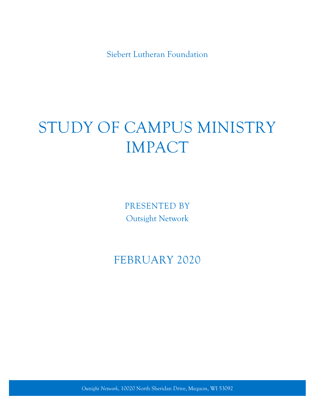Siebert Lutheran Foundation

# STUDY OF CAMPUS MINISTRY IMPACT

PRESENTED BY Outsight Network

# FEBRUARY 2020

*Outsight Network*, 10020 North Sheridan Drive, Mequon, WI 53092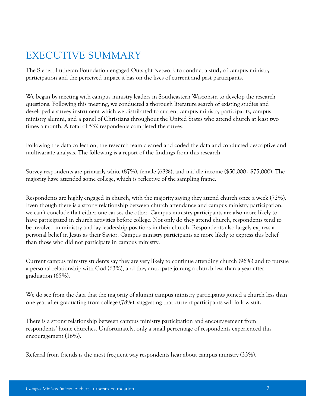# EXECUTIVE SUMMARY

The Siebert Lutheran Foundation engaged Outsight Network to conduct a study of campus ministry participation and the perceived impact it has on the lives of current and past participants.

We began by meeting with campus ministry leaders in Southeastern Wisconsin to develop the research questions. Following this meeting, we conducted a thorough literature search of existing studies and developed a survey instrument which we distributed to current campus ministry participants, campus ministry alumni, and a panel of Christians throughout the United States who attend church at least two times a month. A total of 532 respondents completed the survey.

Following the data collection, the research team cleaned and coded the data and conducted descriptive and multivariate analysis. The following is a report of the findings from this research.

Survey respondents are primarily white (87%), female (68%), and middle income (\$50,000 - \$75,000). The majority have attended some college, which is reflective of the sampling frame.

Respondents are highly engaged in church, with the majority saying they attend church once a week (72%). Even though there is a strong relationship between church attendance and campus ministry participation, we can't conclude that either one causes the other. Campus ministry participants are also more likely to have participated in church activities before college. Not only do they attend church, respondents tend to be involved in ministry and lay leadership positions in their church. Respondents also largely express a personal belief in Jesus as their Savior. Campus ministry participants ae more likely to express this belief than those who did not participate in campus ministry.

Current campus ministry students say they are very likely to continue attending church (96%) and to pursue a personal relationship with God (63%), and they anticipate joining a church less than a year after graduation (65%).

We do see from the data that the majority of alumni campus ministry participants joined a church less than one year after graduating from college (78%), suggesting that current participants will follow suit.

There is a strong relationship between campus ministry participation and encouragement from respondents' home churches. Unfortunately, only a small percentage of respondents experienced this encouragement (16%).

Referral from friends is the most frequent way respondents hear about campus ministry (33%).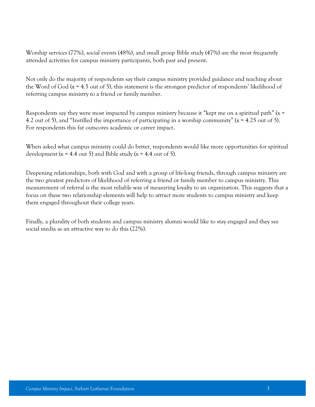Worship services (77%), social events (48%), and small group Bible study (47%) are the most frequently attended activities for campus ministry participants, both past and present.

Not only do the majority of respondents say their campus ministry provided guidance and teaching about the Word of God  $(x = 4.5 \text{ out of } 5)$ , this statement is the strongest predictor of respondents' likelihood of referring campus ministry to a friend or family member.

Respondents say they were most impacted by campus ministry because it "kept me on a spiritual path" (x = 4.2 out of 5), and "Instilled the importance of participating in a worship community" ( $x = 4.25$  out of 5). For respondents this far outscores academic or career impact.

When asked what campus ministry could do better, respondents would like more opportunities for spiritual development ( $x = 4.4$  out 5) and Bible study ( $x = 4.4$  out of 5).

Deepening relationships, both with God and with a group of life-long friends, through campus ministry are the two greatest predictors of likelihood of referring a friend or family member to campus ministry. This measurement of referral is the most reliable way of measuring loyalty to an organization. This suggests that a focus on these two relationship elements will help to attract more students to campus ministry and keep them engaged throughout their college years.

Finally, a plurality of both students and campus ministry alumni would like to stay engaged and they see social media as an attractive way to do this (22%).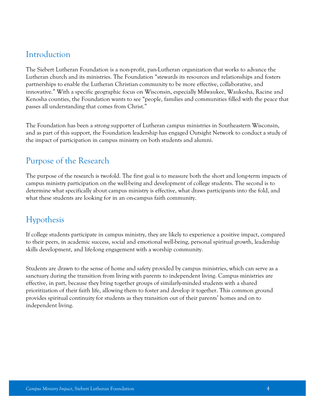### Introduction

The Siebert Lutheran Foundation is a non-profit, pan-Lutheran organization that works to advance the Lutheran church and its ministries. The Foundation "stewards its resources and relationships and fosters partnerships to enable the Lutheran Christian community to be more effective, collaborative, and innovative." With a specific geographic focus on Wisconsin, especially Milwaukee, Waukesha, Racine and Kenosha counties, the Foundation wants to see "people, families and communities filled with the peace that passes all understanding that comes from Christ."

The Foundation has been a strong supporter of Lutheran campus ministries in Southeastern Wisconsin, and as part of this support, the Foundation leadership has engaged Outsight Network to conduct a study of the impact of participation in campus ministry on both students and alumni.

### Purpose of the Research

The purpose of the research is twofold. The first goal is to measure both the short and long-term impacts of campus ministry participation on the well-being and development of college students. The second is to determine what specifically about campus ministry is effective, what draws participants into the fold, and what these students are looking for in an on-campus faith community.

### Hypothesis

If college students participate in campus ministry, they are likely to experience a positive impact, compared to their peers, in academic success, social and emotional well-being, personal spiritual growth, leadership skills development, and life-long engagement with a worship community.

Students are drawn to the sense of home and safety provided by campus ministries, which can serve as a sanctuary during the transition from living with parents to independent living. Campus ministries are effective, in part, because they bring together groups of similarly-minded students with a shared prioritization of their faith life, allowing them to foster and develop it together. This common ground provides spiritual continuity for students as they transition out of their parents' homes and on to independent living.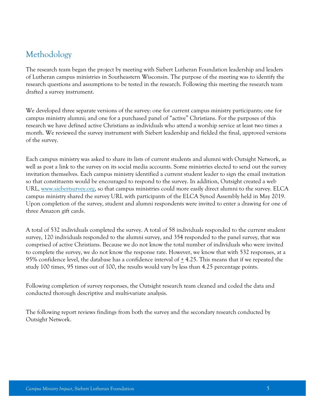### Methodology

The research team began the project by meeting with Siebert Lutheran Foundation leadership and leaders of Lutheran campus ministries in Southeastern Wisconsin. The purpose of the meeting was to identify the research questions and assumptions to be tested in the research. Following this meeting the research team drafted a survey instrument.

We developed three separate versions of the survey: one for current campus ministry participants; one for campus ministry alumni; and one for a purchased panel of "active" Christians. For the purposes of this research we have defined active Christians as individuals who attend a worship service at least two times a month. We reviewed the survey instrument with Siebert leadership and fielded the final, approved versions of the survey.

Each campus ministry was asked to share its lists of current students and alumni with Outsight Network, as well as post a link to the survey on its social media accounts. Some ministries elected to send out the survey invitation themselves. Each campus ministry identified a current student leader to sign the email invitation so that constituents would be encouraged to respond to the survey. In addition, Outsight created a web URL, [www.siebertsurvey.org,](http://www.siebertsurvey.org/) so that campus ministries could more easily direct alumni to the survey. ELCA campus ministry shared the survey URL with participants of the ELCA Synod Assembly held in May 2019. Upon completion of the survey, student and alumni respondents were invited to enter a drawing for one of three Amazon gift cards.

A total of 532 individuals completed the survey. A total of 58 individuals responded to the current student survey, 120 individuals responded to the alumni survey, and 354 responded to the panel survey, that was comprised of active Christians. Because we do not know the total number of individuals who were invited to complete the survey, we do not know the response rate. However, we know that with 532 responses, at a 95% confidence level, the database has a confidence interval of  $\pm$  4.25. This means that if we repeated the study 100 times, 95 times out of 100, the results would vary by less than 4.25 percentage points.

Following completion of survey responses, the Outsight research team cleaned and coded the data and conducted thorough descriptive and multi-variate analysis.

The following report reviews findings from both the survey and the secondary research conducted by Outsight Network.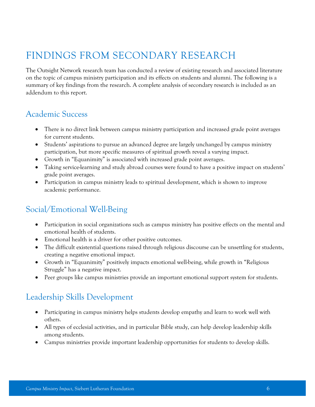# FINDINGS FROM SECONDARY RESEARCH

The Outsight Network research team has conducted a review of existing research and associated literature on the topic of campus ministry participation and its effects on students and alumni. The following is a summary of key findings from the research. A complete analysis of secondary research is included as an addendum to this report.

### Academic Success

- There is no direct link between campus ministry participation and increased grade point averages for current students.
- Students' aspirations to pursue an advanced degree are largely unchanged by campus ministry participation, but more specific measures of spiritual growth reveal a varying impact.
- Growth in "Equanimity" is associated with increased grade point averages.
- Taking service-learning and study abroad courses were found to have a positive impact on students' grade point averages.
- Participation in campus ministry leads to spiritual development, which is shown to improve academic performance.

### Social/Emotional Well-Being

- Participation in social organizations such as campus ministry has positive effects on the mental and emotional health of students.
- Emotional health is a driver for other positive outcomes.
- The difficult existential questions raised through religious discourse can be unsettling for students, creating a negative emotional impact.
- Growth in "Equanimity" positively impacts emotional well-being, while growth in "Religious Struggle" has a negative impact.
- Peer groups like campus ministries provide an important emotional support system for students.

### Leadership Skills Development

- Participating in campus ministry helps students develop empathy and learn to work well with others.
- All types of ecclesial activities, and in particular Bible study, can help develop leadership skills among students.
- Campus ministries provide important leadership opportunities for students to develop skills.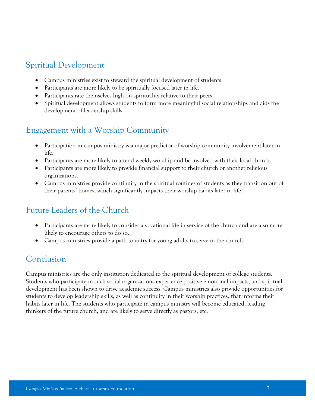### Spiritual Development

- Campus ministries exist to steward the spiritual development of students.
- Participants are more likely to be spiritually focused later in life.
- Participants rate themselves high on spirituality relative to their peers.
- Spiritual development allows students to form more meaningful social relationships and aids the development of leadership skills.

### Engagement with a Worship Community

- Participation in campus ministry is a major predictor of worship community involvement later in life.
- Participants are more likely to attend weekly worship and be involved with their local church.
- Participants are more likely to provide financial support to their church or another religious organizations.
- Campus ministries provide continuity in the spiritual routines of students as they transition out of their parents' homes, which significantly impacts their worship habits later in life.

### Future Leaders of the Church

- Participants are more likely to consider a vocational life in service of the church and are also more likely to encourage others to do so.
- Campus ministries provide a path to entry for young adults to serve in the church.

### Conclusion

Campus ministries are the only institution dedicated to the spiritual development of college students. Students who participate in such social organizations experience positive emotional impacts, and spiritual development has been shown to drive academic success. Campus ministries also provide opportunities for students to develop leadership skills, as well as continuity in their worship practices, that informs their habits later in life. The students who participate in campus ministry will become educated, leading thinkers of the future church, and are likely to serve directly as pastors, etc.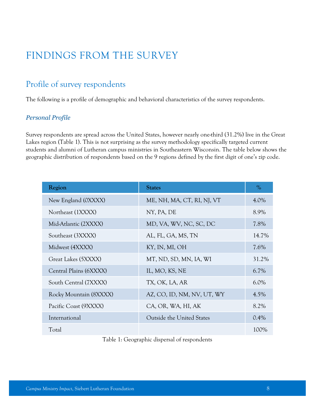# FINDINGS FROM THE SURVEY

### Profile of survey respondents

The following is a profile of demographic and behavioral characteristics of the survey respondents.

#### *Personal Profile*

Survey respondents are spread across the United States, however nearly one-third (31.2%) live in the Great Lakes region (Table 1). This is not surprising as the survey methodology specifically targeted current students and alumni of Lutheran campus ministries in Southeastern Wisconsin. The table below shows the geographic distribution of respondents based on the 9 regions defined by the first digit of one's zip code.

| Region                 | <b>States</b>                    | $\%$    |
|------------------------|----------------------------------|---------|
| New England (0XXXX)    | ME, NH, MA, CT, RI, NJ, VT       | $4.0\%$ |
| Northeast (1XXXX)      | NY, PA, DE                       | 8.9%    |
| Mid-Atlantic (2XXXX)   | MD, VA, WV, NC, SC, DC           | 7.8%    |
| Southeast (3XXXX)      | AL, FL, GA, MS, TN               | 14.7%   |
| Midwest (4XXXX)        | KY, IN, MI, OH                   | 7.6%    |
| Great Lakes (5XXXX)    | MT, ND, SD, MN, IA, WI           | 31.2%   |
| Central Plains (6XXXX) | IL, MO, KS, NE                   | 6.7%    |
| South Central (7XXXX)  | TX, OK, LA, AR                   | $6.0\%$ |
| Rocky Mountain (8XXXX) | AZ, CO, ID, NM, NV, UT, WY       | $4.5\%$ |
| Pacific Coast (9XXXX)  | CA, OR, WA, HI, AK               | 8.2%    |
| International          | <b>Outside the United States</b> | 0.4%    |
| Total                  |                                  | 100%    |

Table 1: Geographic dispersal of respondents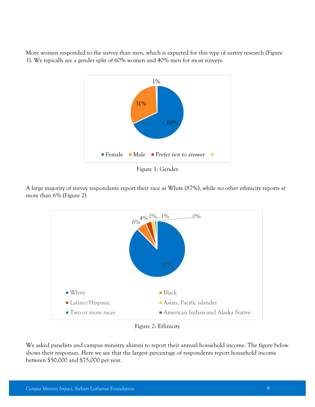More women responded to the survey than men, which is expected for this type of survey research (Figure 1). We typically see a gender split of 60% women and 40% men for most surveys.



Figure 1: Gender

A large majority of survey respondents report their race as White (87%), while no other ethnicity reports at more than 6% (Figure 2).



Figure 2: Ethnicity

We asked panelists and campus ministry alumni to report their annual household income. The figure below shows their responses. Here we see that the largest percentage of respondents report household income between \$50,000 and \$75,000 per year.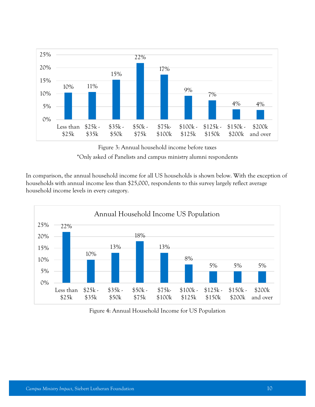

Figure 3: Annual household income before taxes \*Only asked of Panelists and campus ministry alumni respondents

In comparison, the annual household income for all US households is shown below. With the exception of households with annual income less than \$25,000, respondents to this survey largely reflect average household income levels in every category.



Figure 4: Annual Household Income for US Population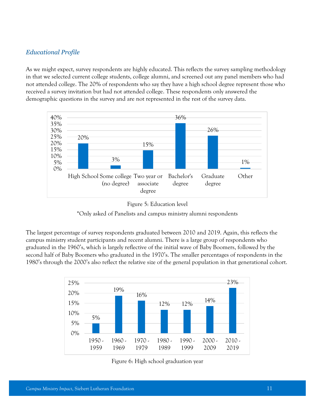#### *Educational Profile*

As we might expect, survey respondents are highly educated. This reflects the survey sampling methodology in that we selected current college students, college alumni, and screened out any panel members who had not attended college. The 20% of respondents who say they have a high school degree represent those who received a survey invitation but had not attended college. These respondents only answered the demographic questions in the survey and are not represented in the rest of the survey data.





\*Only asked of Panelists and campus ministry alumni respondents

The largest percentage of survey respondents graduated between 2010 and 2019. Again, this reflects the campus ministry student participants and recent alumni. There is a large group of respondents who graduated in the 1960's, which is largely reflective of the initial wave of Baby Boomers, followed by the second half of Baby Boomers who graduated in the 1970's. The smaller percentages of respondents in the 1980's through the 2000's also reflect the relative size of the general population in that generational cohort.



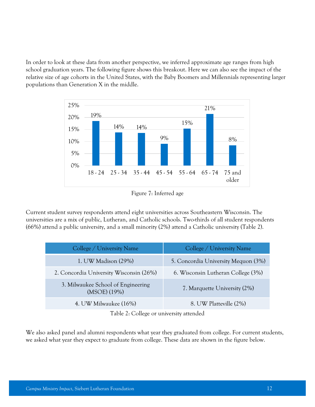In order to look at these data from another perspective, we inferred approximate age ranges from high school graduation years. The following figure shows this breakout. Here we can also see the impact of the relative size of age cohorts in the United States, with the Baby Boomers and Millennials representing larger populations than Generation X in the middle.



Figure 7: Inferred age

Current student survey respondents attend eight universities across Southeastern Wisconsin. The universities are a mix of public, Lutheran, and Catholic schools. Two-thirds of all student respondents (66%) attend a public university, and a small minority (2%) attend a Catholic university (Table 2).

| College / University Name                          | College / University Name           |
|----------------------------------------------------|-------------------------------------|
| 1. UW Madison (29%)                                | 5. Concordia University Mequon (3%) |
| 2. Concordia University Wisconsin (26%)            | 6. Wisconsin Lutheran College (3%)  |
| 3. Milwaukee School of Engineering<br>(MSOE) (19%) | 7. Marquette University (2%)        |
| 4. UW Milwaukee (16%)                              | 8. UW Platteville (2%)              |

Table 2: College or university attended

We also asked panel and alumni respondents what year they graduated from college. For current students, we asked what year they expect to graduate from college. These data are shown in the figure below.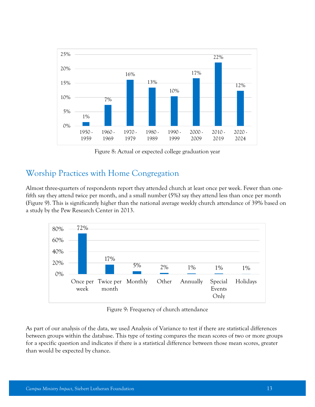

Figure 8: Actual or expected college graduation year

### Worship Practices with Home Congregation

Almost three-quarters of respondents report they attended church at least once per week. Fewer than onefifth say they attend twice per month, and a small number (5%) say they attend less than once per month (Figure 9). This is significantly higher than the national average weekly church attendance of 39% based on a study by the Pew Research Center in 2013.



Figure 9: Frequency of church attendance

As part of our analysis of the data, we used Analysis of Variance to test if there are statistical differences between groups within the database. This type of testing compares the mean scores of two or more groups for a specific question and indicates if there is a statistical difference between those mean scores, greater than would be expected by chance.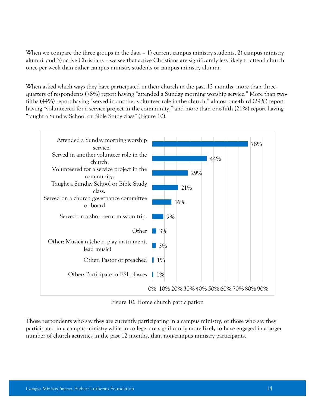When we compare the three groups in the data – 1) current campus ministry students, 2) campus ministry alumni, and 3) active Christians – we see that active Christians are significantly less likely to attend church once per week than either campus ministry students or campus ministry alumni.

When asked which ways they have participated in their church in the past 12 months, more than threequarters of respondents (78%) report having "attended a Sunday morning worship service." More than twofifths (44%) report having "served in another volunteer role in the church," almost one-third (29%) report having "volunteered for a service project in the community," and more than one-fifth (21%) report having "taught a Sunday School or Bible Study class" (Figure 10).



Figure 10: Home church participation

Those respondents who say they are currently participating in a campus ministry, or those who say they participated in a campus ministry while in college, are significantly more likely to have engaged in a larger number of church activities in the past 12 months, than non-campus ministry participants.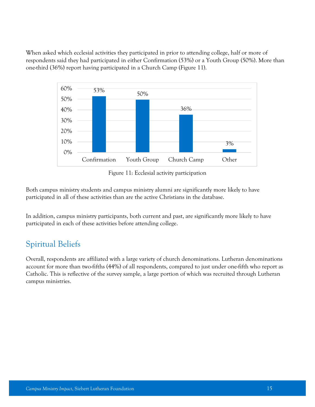When asked which ecclesial activities they participated in prior to attending college, half or more of respondents said they had participated in either Confirmation (53%) or a Youth Group (50%). More than one-third (36%) report having participated in a Church Camp (Figure 11).



Figure 11: Ecclesial activity participation

Both campus ministry students and campus ministry alumni are significantly more likely to have participated in all of these activities than are the active Christians in the database.

In addition, campus ministry participants, both current and past, are significantly more likely to have participated in each of these activities before attending college.

### Spiritual Beliefs

Overall, respondents are affiliated with a large variety of church denominations. Lutheran denominations account for more than two-fifths (44%) of all respondents, compared to just under one-fifth who report as Catholic. This is reflective of the survey sample, a large portion of which was recruited through Lutheran campus ministries.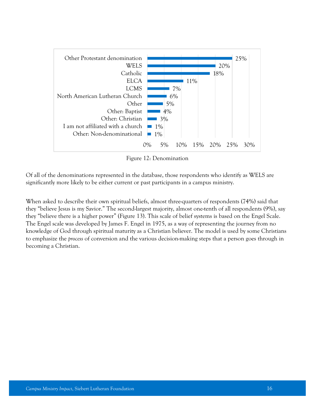

Figure 12: Denomination

Of all of the denominations represented in the database, those respondents who identify as WELS are significantly more likely to be either current or past participants in a campus ministry.

When asked to describe their own spiritual beliefs, almost three-quarters of respondents (74%) said that they "believe Jesus is my Savior." The second-largest majority, almost one-tenth of all respondents (9%), say they "believe there is a higher power" (Figure 13). This scale of belief systems is based on the Engel Scale. The Engel scale was developed by James F. Engel in 1975, as a way of representing the journey from no knowledge of God through spiritual maturity as a [Christian](https://en.wikipedia.org/wiki/Christians) believer. The model is used by some Christians to emphasize the *process* of conversion and the various decision-making steps that a person goes through in becoming a Christian.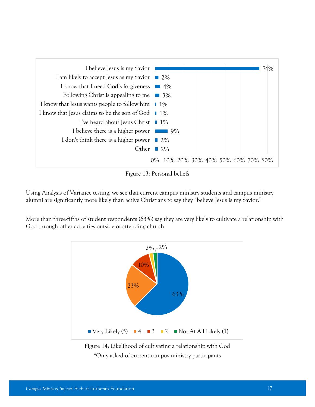

Figure 13: Personal beliefs

Using Analysis of Variance testing, we see that current campus ministry students and campus ministry alumni are significantly more likely than active Christians to say they "believe Jesus is my Savior."

More than three-fifths of student respondents (63%) say they are very likely to cultivate a relationship with God through other activities outside of attending church.



Figure 14: Likelihood of cultivating a relationship with God \*Only asked of current campus ministry participants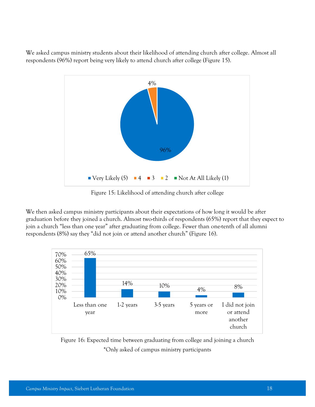We asked campus ministry students about their likelihood of attending church after college. Almost all respondents (96%) report being very likely to attend church after college (Figure 15).



Figure 15: Likelihood of attending church after college

We then asked campus ministry participants about their expectations of how long it would be after graduation before they joined a church. Almost two-thirds of respondents (65%) report that they expect to join a church "less than one year" after graduating from college. Fewer than one-tenth of all alumni respondents (8%) say they "did not join or attend another church" (Figure 16).



Figure 16: Expected time between graduating from college and joining a church \*Only asked of campus ministry participants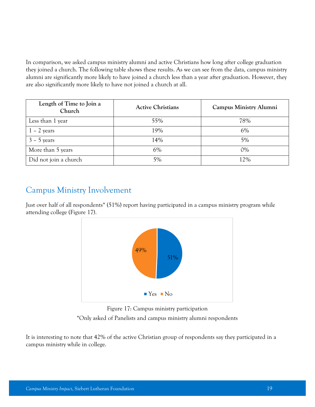In comparison, we asked campus ministry alumni and active Christians how long after college graduation they joined a church. The following table shows these results. As we can see from the data, campus ministry alumni are significantly more likely to have joined a church less than a year after graduation. However, they are also significantly more likely to have not joined a church at all.

| Length of Time to Join a<br>Church | <b>Active Christians</b> | Campus Ministry Alumni |
|------------------------------------|--------------------------|------------------------|
| Less than 1 year                   | 55%                      | 78%                    |
| $1 - 2$ years                      | 19%                      | 6%                     |
| $3 - 5$ years                      | 14%                      | 5%                     |
| More than 5 years                  | 6%                       | $0\%$                  |
| Did not join a church              | 5%                       | 12%                    |

### Campus Ministry Involvement

Just over half of all respondents\* (51%) report having participated in a campus ministry program while attending college (Figure 17).



Figure 17: Campus ministry participation \*Only asked of Panelists and campus ministry alumni respondents

It is interesting to note that 42% of the active Christian group of respondents say they participated in a campus ministry while in college.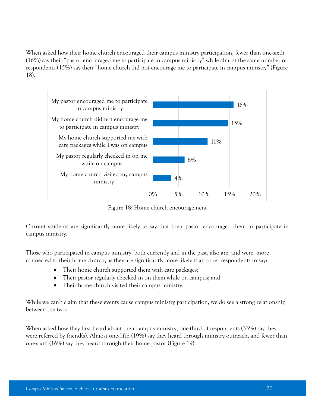When asked how their home church encouraged their campus ministry participation, fewer than one-sixth (16%) say their "pastor encouraged me to participate in campus ministry" while almost the same number of respondents (15%) say their "home church did not encourage me to participate in campus ministry" (Figure 18).



Figure 18: Home church encouragement

Current students are significantly more likely to say that their pastor encouraged them to participate in campus ministry.

Those who participated in campus ministry, both currently and in the past, also are, and were, more connected to their home church, as they are significantly more likely than other respondents to say:

- Their home church supported them with care packages;
- Their pastor regularly checked in on them while on campus; and
- Their home church visited their campus ministry.

While we can't claim that these events cause campus ministry participation, we do see a strong relationship between the two.

When asked how they first heard about their campus ministry, one-third of respondents (33%) say they were referred by friend(s). Almost one-fifth (19%) say they heard through ministry outreach, and fewer than one-sixth (16%) say they heard through their home pastor (Figure 19).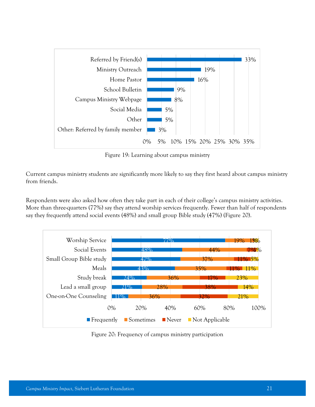

Figure 19: Learning about campus ministry

Current campus ministry students are significantly more likely to say they first heard about campus ministry from friends.

Respondents were also asked how often they take part in each of their college's campus ministry activities. More than three-quarters (77%) say they attend worship services frequently. Fewer than half of respondents say they frequently attend social events (48%) and small group Bible study (47%) (Figure 20).



Figure 20: Frequency of campus ministry participation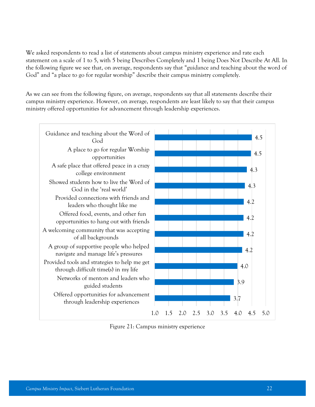We asked respondents to read a list of statements about campus ministry experience and rate each statement on a scale of 1 to 5, with 5 being Describes Completely and 1 being Does Not Describe At All. In the following figure we see that, on average, respondents say that "guidance and teaching about the word of God" and "a place to go for regular worship" describe their campus ministry completely.

As we can see from the following figure, on average, respondents say that all statements describe their campus ministry experience. However, on average, respondents are least likely to say that their campus ministry offered opportunities for advancement through leadership experiences.



Figure 21: Campus ministry experience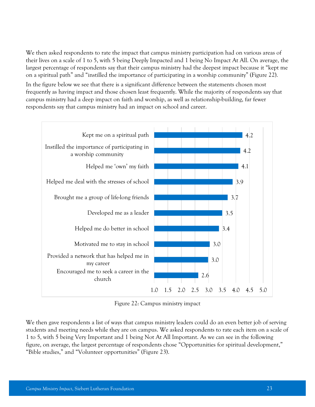We then asked respondents to rate the impact that campus ministry participation had on various areas of their lives on a scale of 1 to 5, with 5 being Deeply Impacted and 1 being No Impact At All. On average, the largest percentage of respondents say that their campus ministry had the deepest impact because it "kept me on a spiritual path" and "instilled the importance of participating in a worship community" (Figure 22).

In the figure below we see that there is a significant difference between the statements chosen most frequently as having impact and those chosen least frequently. While the majority of respondents say that campus ministry had a deep impact on faith and worship, as well as relationship-building, far fewer respondents say that campus ministry had an impact on school and career.



Figure 22: Campus ministry impact

We then gave respondents a list of ways that campus ministry leaders could do an even better job of serving students and meeting needs while they are on campus. We asked respondents to rate each item on a scale of 1 to 5, with 5 being Very Important and 1 being Not At All Important. As we can see in the following figure, on average, the largest percentage of respondents chose "Opportunities for spiritual development," "Bible studies," and "Volunteer opportunities" (Figure 23).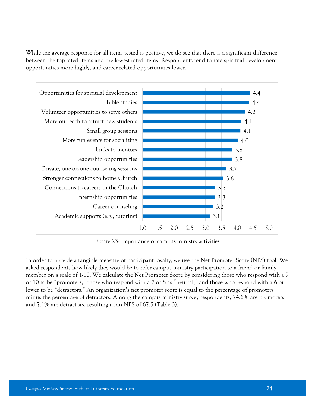While the average response for all items tested is positive, we do see that there is a significant difference between the top-rated items and the lowest-rated items. Respondents tend to rate spiritual development opportunities more highly, and career-related opportunities lower.



Figure 23: Importance of campus ministry activities

In order to provide a tangible measure of participant loyalty, we use the Net Promoter Score (NPS) tool. We asked respondents how likely they would be to refer campus ministry participation to a friend or family member on a scale of 1-10. We calculate the Net Promoter Score by considering those who respond with a 9 or 10 to be "promoters," those who respond with a 7 or 8 as "neutral," and those who respond with a 6 or lower to be "detractors." An organization's net promoter score is equal to the percentage of promoters minus the percentage of detractors. Among the campus ministry survey respondents, 74.6% are promoters and 7.1% are detractors, resulting in an NPS of 67.5 (Table 3).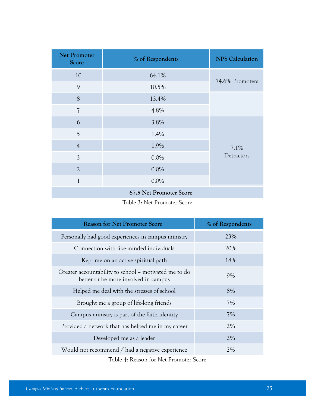| <b>Net Promoter</b><br>Score | % of Respondents | <b>NPS Calculation</b> |
|------------------------------|------------------|------------------------|
| 10                           | 64.1%            |                        |
| 9                            | 10.5%            | 74.6% Promoters        |
| 8                            | 13.4%            |                        |
| $\overline{\mathcal{L}}$     | 4.8%             |                        |
| 6                            | 3.8%             | 7.1%<br>Detractors     |
| 5                            | 1.4%             |                        |
| $\overline{4}$               | 1.9%             |                        |
| $\overline{3}$               | $0.0\%$          |                        |
| $\overline{2}$               | $0.0\%$          |                        |
| $\mathbf{1}$                 | $0.0\%$          |                        |
| 67.5 Net Promoter Score      |                  |                        |

Table 3: Net Promoter Score

| <b>Reason for Net Promoter Score</b>                                                          | % of Respondents |  |
|-----------------------------------------------------------------------------------------------|------------------|--|
| Personally had good experiences in campus ministry                                            | 23%              |  |
| Connection with like-minded individuals                                                       | 20%              |  |
| Kept me on an active spiritual path                                                           | 18%              |  |
| Greater accountability to school – motivated me to do<br>better or be more involved in campus | 9%               |  |
| Helped me deal with the stresses of school                                                    | 8%               |  |
| Brought me a group of life-long friends                                                       | 7%               |  |
| Campus ministry is part of the faith identity                                                 | 7%               |  |
| Provided a network that has helped me in my career                                            | 2%               |  |
| Developed me as a leader                                                                      | 2%               |  |
| Would not recommend / had a negative experience                                               | 2%               |  |
|                                                                                               |                  |  |

Table 4: Reason for Net Promoter Score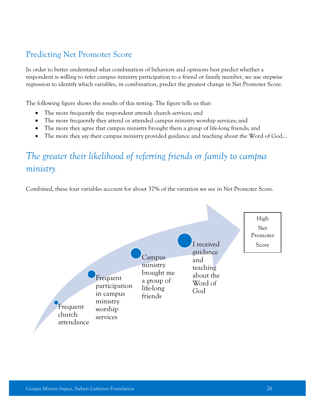### Predicting Net Promoter Score

In order to better understand what combination of behaviors and opinions best predict whether a respondent is willing to refer campus ministry participation to a friend or family member, we use stepwise regression to identify which variables, in combination, predict the greatest change in Net Promoter Score.

The following figure shows the results of this testing. The figure tells us that:

- The more frequently the respondent attends church services; and
- The more frequently they attend or attended campus ministry worship services; and
- The more they agree that campus ministry brought them a group of life-long friends; and
- The more they say their campus ministry provided guidance and teaching about the Word of God...

## *The greater their likelihood of referring friends or family to campus ministry.*

Combined, these four variables account for about 37% of the variation we see in Net Promoter Score.

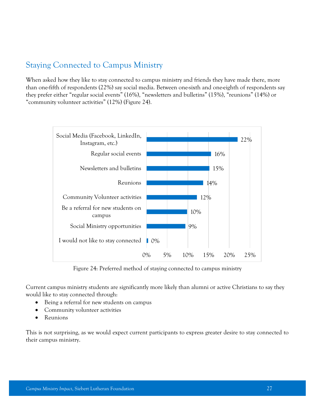### Staying Connected to Campus Ministry

When asked how they like to stay connected to campus ministry and friends they have made there, more than one-fifth of respondents (22%) say social media. Between one-sixth and one-eighth of respondents say they prefer either "regular social events" (16%), "newsletters and bulletins" (15%), "reunions" (14%) or "community volunteer activities" (12%) (Figure 24).



Figure 24: Preferred method of staying connected to campus ministry

Current campus ministry students are significantly more likely than alumni or active Christians to say they would like to stay connected through:

- Being a referral for new students on campus
- Community volunteer activities
- Reunions

This is not surprising, as we would expect current participants to express greater desire to stay connected to their campus ministry.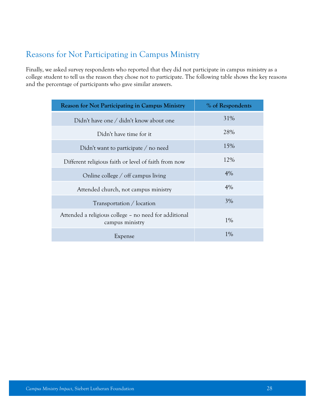### Reasons for Not Participating in Campus Ministry

Finally, we asked survey respondents who reported that they did not participate in campus ministry as a college student to tell us the reason they chose not to participate. The following table shows the key reasons and the percentage of participants who gave similar answers.

| <b>Reason for Not Participating in Campus Ministry</b>                   | % of Respondents |
|--------------------------------------------------------------------------|------------------|
| Didn't have one / didn't know about one                                  | 31%              |
| Didn't have time for it.                                                 | 28%              |
| Didn't want to participate $\ell$ no need                                | 15%              |
| Different religious faith or level of faith from now                     | 12%              |
| Online college $\frac{1}{1}$ off campus living                           | 4%               |
| Attended church, not campus ministry                                     | 4%               |
| Transportation / location                                                | 3%               |
| Attended a religious college – no need for additional<br>campus ministry | $1\%$            |
| Expense                                                                  | $1\%$            |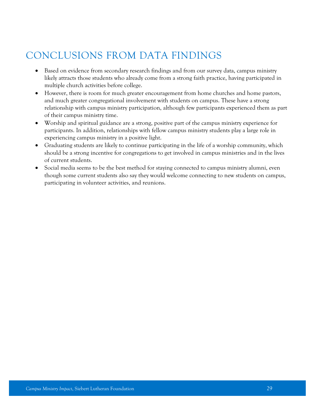# CONCLUSIONS FROM DATA FINDINGS

- Based on evidence from secondary research findings and from our survey data, campus ministry likely attracts those students who already come from a strong faith practice, having participated in multiple church activities before college.
- However, there is room for much greater encouragement from home churches and home pastors, and much greater congregational involvement with students on campus. These have a strong relationship with campus ministry participation, although few participants experienced them as part of their campus ministry time.
- Worship and spiritual guidance are a strong, positive part of the campus ministry experience for participants. In addition, relationships with fellow campus ministry students play a large role in experiencing campus ministry in a positive light.
- Graduating students are likely to continue participating in the life of a worship community, which should be a strong incentive for congregations to get involved in campus ministries and in the lives of current students.
- Social media seems to be the best method for staying connected to campus ministry alumni, even though some current students also say they would welcome connecting to new students on campus, participating in volunteer activities, and reunions.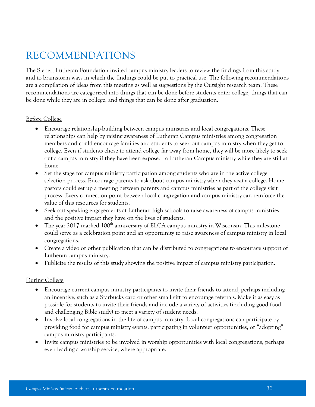# RECOMMENDATIONS

The Siebert Lutheran Foundation invited campus ministry leaders to review the findings from this study and to brainstorm ways in which the findings could be put to practical use. The following recommendations are a compilation of ideas from this meeting as well as suggestions by the Outsight research team. These recommendations are categorized into things that can be done before students enter college, things that can be done while they are in college, and things that can be done after graduation.

#### Before College

- Encourage relationship-building between campus ministries and local congregations. These relationships can help by raising awareness of Lutheran Campus ministries among congregation members and could encourage families and students to seek out campus ministry when they get to college. Even if students chose to attend college far away from home, they will be more likely to seek out a campus ministry if they have been exposed to Lutheran Campus ministry while they are still at home.
- Set the stage for campus ministry participation among students who are in the active college selection process. Encourage parents to ask about campus ministry when they visit a college. Home pastors could set up a meeting between parents and campus ministries as part of the college visit process. Every connection point between local congregation and campus ministry can reinforce the value of this resources for students.
- Seek out speaking engagements at Lutheran high schools to raise awareness of campus ministries and the positive impact they have on the lives of students.
- The year 2017 marked 100<sup>th</sup> anniversary of ELCA campus ministry in Wisconsin. This milestone could serve as a celebration point and an opportunity to raise awareness of campus ministry in local congregations.
- Create a video or other publication that can be distributed to congregations to encourage support of Lutheran campus ministry.
- Publicize the results of this study showing the positive impact of campus ministry participation.

#### During College

- Encourage current campus ministry participants to invite their friends to attend, perhaps including an incentive, such as a Starbucks card or other small gift to encourage referrals. Make it as easy as possible for students to invite their friends and include a variety of activities (including good food and challenging Bible study) to meet a variety of student needs.
- Involve local congregations in the life of campus ministry. Local congregations can participate by providing food for campus ministry events, participating in volunteer opportunities, or "adopting" campus ministry participants.
- Invite campus ministries to be involved in worship opportunities with local congregations, perhaps even leading a worship service, where appropriate.